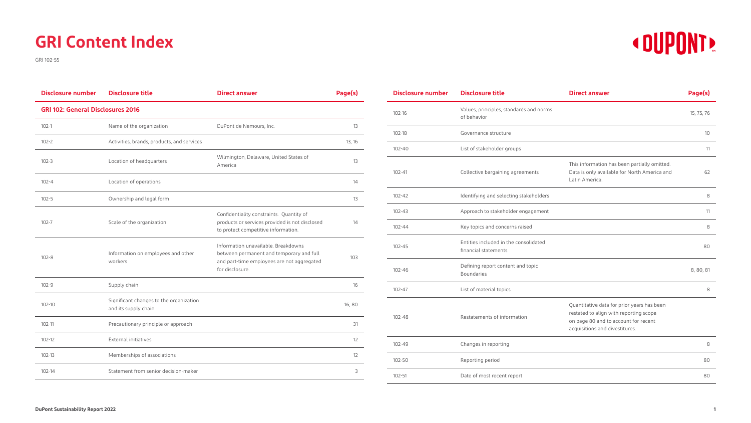

## **GRI Content Index**

GRI 102-55

| <b>Disclosure number</b> | <b>Disclosure title</b>                                         | <b>Direct answer</b>                                                                                                                             | Page(s) |  |  |  |
|--------------------------|-----------------------------------------------------------------|--------------------------------------------------------------------------------------------------------------------------------------------------|---------|--|--|--|
|                          | <b>GRI 102: General Disclosures 2016</b>                        |                                                                                                                                                  |         |  |  |  |
| $102 - 1$                | Name of the organization                                        | DuPont de Nemours, Inc.                                                                                                                          | 13      |  |  |  |
| $102 - 2$                | Activities, brands, products, and services                      |                                                                                                                                                  | 13, 16  |  |  |  |
| $102 - 3$                | Location of headquarters                                        | Wilmington, Delaware, United States of<br>America                                                                                                | 13      |  |  |  |
| $102 - 4$                | Location of operations                                          |                                                                                                                                                  | 14      |  |  |  |
| $102 - 5$                | Ownership and legal form                                        |                                                                                                                                                  | 13      |  |  |  |
| $102 - 7$                | Scale of the organization                                       | Confidentiality constraints. Quantity of<br>products or services provided is not disclosed<br>to protect competitive information.                | 14      |  |  |  |
| $102 - 8$                | Information on employees and other<br>workers                   | Information unavailable. Breakdowns<br>between permanent and temporary and full<br>and part-time employees are not aggregated<br>for disclosure. | 103     |  |  |  |
| $102 - 9$                | Supply chain                                                    |                                                                                                                                                  | 16      |  |  |  |
| $102 - 10$               | Significant changes to the organization<br>and its supply chain |                                                                                                                                                  | 16,80   |  |  |  |
| 102-11                   | Precautionary principle or approach                             |                                                                                                                                                  | 31      |  |  |  |
| $102 - 12$               | External initiatives                                            |                                                                                                                                                  | 12      |  |  |  |
| $102 - 13$               | Memberships of associations                                     |                                                                                                                                                  | 12      |  |  |  |
| $102 - 14$               | Statement from senior decision-maker                            |                                                                                                                                                  | 3       |  |  |  |

| <b>Disclosure number</b> | <b>Disclosure title</b>                                       | <b>Direct answer</b>                                                                                                                                           | Page(s)    |
|--------------------------|---------------------------------------------------------------|----------------------------------------------------------------------------------------------------------------------------------------------------------------|------------|
| $102 - 16$               | Values, principles, standards and norms<br>of behavior        |                                                                                                                                                                | 15, 75, 76 |
| $102 - 18$               | Governance structure                                          |                                                                                                                                                                | 10         |
| $102 - 40$               | List of stakeholder groups                                    |                                                                                                                                                                | 11         |
| $102 - 41$               | Collective bargaining agreements                              | This information has been partially omitted.<br>Data is only available for North America and<br>Latin America.                                                 | 62         |
| 102-42                   | Identifying and selecting stakeholders                        |                                                                                                                                                                | 8          |
| $102 - 43$               | Approach to stakeholder engagement                            |                                                                                                                                                                | 11         |
| $102 - 44$               | Key topics and concerns raised                                |                                                                                                                                                                | 8          |
| $102 - 45$               | Entities included in the consolidated<br>financial statements |                                                                                                                                                                | 80         |
| $102 - 46$               | Defining report content and topic<br><b>Boundaries</b>        |                                                                                                                                                                | 8, 80, 81  |
| $102 - 47$               | List of material topics                                       |                                                                                                                                                                | 8          |
| 102-48                   | Restatements of information                                   | Quantitative data for prior years has been<br>restated to align with reporting scope<br>on page 80 and to account for recent<br>acquisitions and divestitures. |            |
| 102-49                   | Changes in reporting                                          |                                                                                                                                                                | 8          |
| 102-50                   | Reporting period                                              |                                                                                                                                                                | 80         |
| $102 - 51$               | Date of most recent report                                    |                                                                                                                                                                | 80         |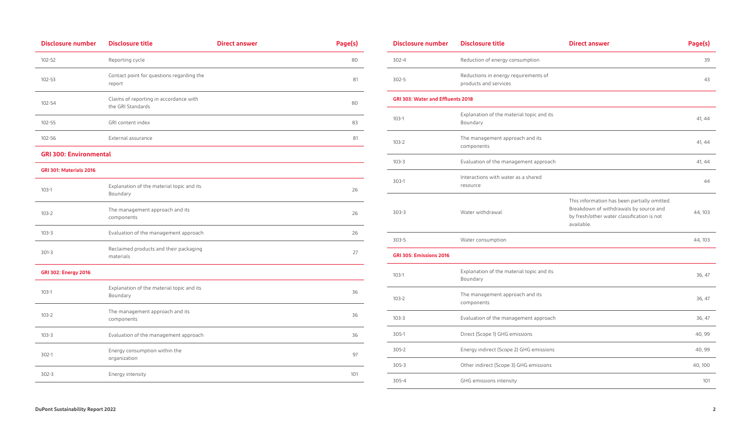| <b>Disclosure number</b>      | <b>Disclosure title</b>                                     | <b>Direct answer</b> | Page(s) |
|-------------------------------|-------------------------------------------------------------|----------------------|---------|
| 102-52                        | Reporting cycle                                             |                      | 80      |
| 102-53                        | Contact point for questions regarding the<br>report         |                      | 81      |
| 102-54                        | Claims of reporting in accordance with<br>the GRI Standards |                      | 80      |
| $102 - 55$                    | GRI content index                                           |                      | 83      |
| 102-56                        | External assurance                                          |                      | 81      |
| <b>GRI 300: Environmental</b> |                                                             |                      |         |
| GRI 301: Materials 2016       |                                                             |                      |         |
| $103-1$                       | Explanation of the material topic and its<br>Boundary       |                      | 26      |
| $103 - 2$                     | The management approach and its<br>components               |                      | 26      |
| $103 - 3$                     | Evaluation of the management approach                       |                      | 26      |
| $301-3$                       | Reclaimed products and their packaging<br>materials         |                      | 27      |
| <b>GRI 302: Energy 2016</b>   |                                                             |                      |         |
| $103-1$                       | Explanation of the material topic and its<br>Boundary       |                      | 36      |
| $103 - 2$                     | The management approach and its<br>components               |                      | 36      |
| $103 - 3$                     | Evaluation of the management approach                       |                      | 36      |
| $302-1$                       | Energy consumption within the<br>organization               |                      | 97      |
| $302 - 3$                     | Energy intensity                                            |                      | 101     |

| <b>Disclosure number</b>                 | <b>Disclosure title</b>                                       | <b>Direct answer</b>                                                                                                                               | Page(s) |
|------------------------------------------|---------------------------------------------------------------|----------------------------------------------------------------------------------------------------------------------------------------------------|---------|
| $302 - 4$                                | Reduction of energy consumption                               |                                                                                                                                                    | 39      |
| $302 - 5$                                | Reductions in energy requirements of<br>products and services |                                                                                                                                                    | 43      |
| <b>GRI 303: Water and Effluents 2018</b> |                                                               |                                                                                                                                                    |         |
| $103-1$                                  | Explanation of the material topic and its<br>Boundary         |                                                                                                                                                    | 41, 44  |
| $103 - 2$                                | The management approach and its<br>components                 |                                                                                                                                                    | 41, 44  |
| $103 - 3$                                | Evaluation of the management approach                         |                                                                                                                                                    | 41, 44  |
| $303-1$                                  | Interactions with water as a shared<br>resource               |                                                                                                                                                    | 44      |
| $303 - 3$                                | Water withdrawal                                              | This information has been partially omitted.<br>Breakdown of withdrawals by source and<br>by fresh/other water classification is not<br>available. | 44, 103 |
| $303 - 5$                                | Water consumption                                             |                                                                                                                                                    | 44, 103 |
| <b>GRI 305: Emissions 2016</b>           |                                                               |                                                                                                                                                    |         |
| $103-1$                                  | Explanation of the material topic and its<br>Boundary         |                                                                                                                                                    | 36, 47  |
| $103 - 2$                                | The management approach and its<br>components                 |                                                                                                                                                    | 36, 47  |
| $103 - 3$                                | Evaluation of the management approach                         |                                                                                                                                                    | 36, 47  |
| $305-1$                                  | Direct (Scope 1) GHG emissions                                |                                                                                                                                                    | 40, 99  |
| $305 - 2$                                | Energy indirect (Scope 2) GHG emissions                       |                                                                                                                                                    | 40, 99  |
| $305 - 3$                                | Other indirect (Scope 3) GHG emissions                        |                                                                                                                                                    | 40, 100 |
| $305 - 4$                                | GHG emissions intensity                                       |                                                                                                                                                    | 101     |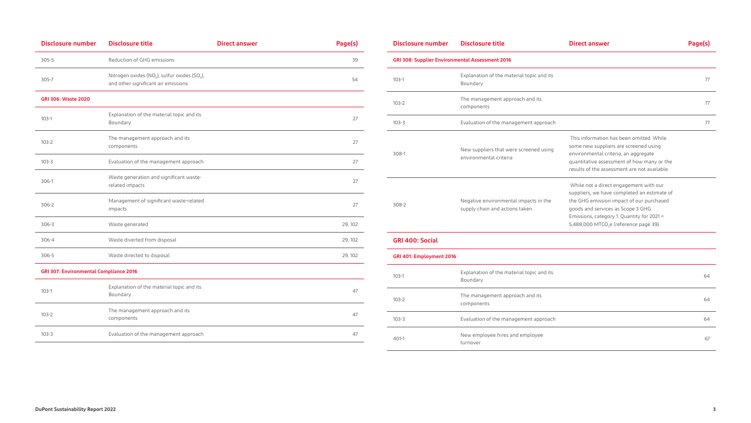| <b>Disclosure number</b>                      | <b>Disclosure title</b>                                                                                      | <b>Direct answer</b> | Page(s) |
|-----------------------------------------------|--------------------------------------------------------------------------------------------------------------|----------------------|---------|
| $305 - 5$                                     | Reduction of GHG emissions                                                                                   |                      | 39      |
| 305-7                                         | Nitrogen oxides (NO <sub>x</sub> ), sulfur oxides (SO <sub>x</sub> ),<br>and other significant air emissions |                      | 54      |
| <b>GRI 306: Waste 2020</b>                    |                                                                                                              |                      |         |
| $103-1$                                       | Explanation of the material topic and its<br>Boundary                                                        |                      | 27      |
| $103 - 2$                                     | The management approach and its<br>components                                                                |                      | 27      |
| $103 - 3$                                     | Evaluation of the management approach                                                                        |                      | 27      |
| 306-1                                         | Waste generation and significant waste-<br>related impacts                                                   |                      | 27      |
| 306-2                                         | Management of significant waste-related<br>impacts                                                           |                      | 27      |
| $306 - 3$                                     | Waste generated                                                                                              |                      | 29, 102 |
| $306 - 4$                                     | Waste diverted from disposal                                                                                 |                      | 29, 102 |
| $306 - 5$                                     | Waste directed to disposal                                                                                   |                      | 29, 102 |
| <b>GRI 307: Environmental Compliance 2016</b> |                                                                                                              |                      |         |
| $103-1$                                       | Explanation of the material topic and its<br>Boundary                                                        |                      | 47      |
| $103 - 2$                                     | The management approach and its<br>components                                                                |                      | 47      |
| $103 - 3$                                     | Evaluation of the management approach                                                                        |                      | 47      |

| <b>Disclosure number</b>                               | <b>Disclosure title</b>                                                 | <b>Direct answer</b>                                                                                                                                                                                                                                                       | Page(s) |  |  |
|--------------------------------------------------------|-------------------------------------------------------------------------|----------------------------------------------------------------------------------------------------------------------------------------------------------------------------------------------------------------------------------------------------------------------------|---------|--|--|
| <b>GRI 308: Supplier Environmental Assessment 2016</b> |                                                                         |                                                                                                                                                                                                                                                                            |         |  |  |
| $103-1$                                                | Explanation of the material topic and its<br>Boundary                   |                                                                                                                                                                                                                                                                            | 77      |  |  |
| $103 - 2$                                              | The management approach and its<br>components                           |                                                                                                                                                                                                                                                                            | 77      |  |  |
| $103 - 3$                                              | Evaluation of the management approach                                   |                                                                                                                                                                                                                                                                            | 77      |  |  |
| 308-1                                                  | New suppliers that were screened using<br>environmental criteria        | This information has been omitted. While<br>some new suppliers are screened using<br>environmental criteria, an aggregate<br>quantitative assessment of how many or the<br>results of the assessment are not available.                                                    |         |  |  |
| 308-2                                                  | Negative environmental impacts in the<br>supply chain and actions taken | While not a direct engagement with our<br>suppliers, we have completed an estimate of<br>the GHG emission impact of our purchased<br>goods and services as Scope 3 GHG<br>Emissions, category 1. Quantity for 2021 =<br>5,488,000 MTCO <sub>2</sub> e (reference page 39). |         |  |  |
| <b>GRI 400: Social</b>                                 |                                                                         |                                                                                                                                                                                                                                                                            |         |  |  |
| GRI 401: Employment 2016                               |                                                                         |                                                                                                                                                                                                                                                                            |         |  |  |
| $103-1$                                                | Explanation of the material topic and its<br>Boundary                   |                                                                                                                                                                                                                                                                            | 64      |  |  |
| $103 - 2$                                              | The management approach and its                                         |                                                                                                                                                                                                                                                                            | 64      |  |  |

|                                                                                                                                                                                                                                                                            | 77 |
|----------------------------------------------------------------------------------------------------------------------------------------------------------------------------------------------------------------------------------------------------------------------------|----|
|                                                                                                                                                                                                                                                                            | 77 |
|                                                                                                                                                                                                                                                                            | 77 |
| This information has been omitted. While<br>some new suppliers are screened using<br>environmental criteria, an aggregate<br>quantitative assessment of how many or the<br>results of the assessment are not available.                                                    |    |
| While not a direct engagement with our<br>suppliers, we have completed an estimate of<br>the GHG emission impact of our purchased<br>goods and services as Scope 3 GHG<br>Emissions, category 1. Quantity for 2021 =<br>5,488,000 MTCO <sub>2</sub> e (reference page 39). |    |
|                                                                                                                                                                                                                                                                            |    |
|                                                                                                                                                                                                                                                                            |    |
|                                                                                                                                                                                                                                                                            | 64 |
|                                                                                                                                                                                                                                                                            | 64 |
|                                                                                                                                                                                                                                                                            | 64 |
|                                                                                                                                                                                                                                                                            | 67 |

components

103-3 **Evaluation of the management approach** 

401-1 New employee hires and employee turnover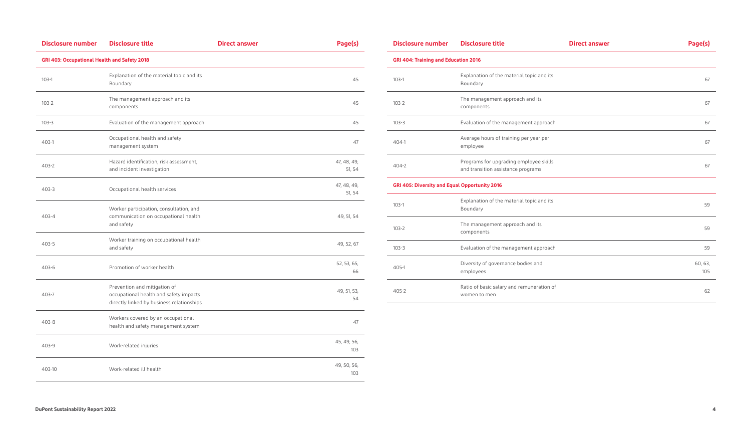| <b>Disclosure number</b>                     | <b>Disclosure title</b>                                                                                             | <b>Direct answer</b> | Page(s)               |
|----------------------------------------------|---------------------------------------------------------------------------------------------------------------------|----------------------|-----------------------|
| GRI 403: Occupational Health and Safety 2018 |                                                                                                                     |                      |                       |
| $103-1$                                      | Explanation of the material topic and its<br>Boundary                                                               |                      | 45                    |
| $103 - 2$                                    | The management approach and its<br>components                                                                       |                      | 45                    |
| $103 - 3$                                    | Evaluation of the management approach                                                                               |                      | 45                    |
| 403-1                                        | Occupational health and safety<br>management system                                                                 |                      | 47                    |
| $403 - 2$                                    | Hazard identification, risk assessment,<br>and incident investigation                                               |                      | 47, 48, 49,<br>51, 54 |
| $403 - 3$                                    | Occupational health services                                                                                        |                      | 47, 48, 49,<br>51, 54 |
| 403-4                                        | Worker participation, consultation, and<br>communication on occupational health<br>and safety                       |                      | 49, 51, 54            |
| $403 - 5$                                    | Worker training on occupational health<br>and safety                                                                |                      | 49, 52, 67            |
| $403 - 6$                                    | Promotion of worker health                                                                                          |                      | 52, 53, 65,<br>66     |
| 403-7                                        | Prevention and mitigation of<br>occupational health and safety impacts<br>directly linked by business relationships |                      | 49, 51, 53,<br>54     |
| $403 - 8$                                    | Workers covered by an occupational<br>health and safety management system                                           |                      | 47                    |
| 403-9                                        | Work-related injuries                                                                                               |                      | 45, 49, 56,<br>103    |
| 403-10                                       | Work-related ill health                                                                                             |                      | 49, 50, 56,<br>103    |

| <b>Disclosure number</b>                      | <b>Disclosure title</b>                                                      | <b>Direct answer</b> | Page(s)        |
|-----------------------------------------------|------------------------------------------------------------------------------|----------------------|----------------|
| <b>GRI 404: Training and Education 2016</b>   |                                                                              |                      |                |
| $103-1$                                       | Explanation of the material topic and its<br>Boundary                        |                      | 67             |
| $103 - 2$                                     | The management approach and its<br>components                                |                      | 67             |
| $103 - 3$                                     | Evaluation of the management approach                                        |                      | 67             |
| $404-1$                                       | Average hours of training per year per<br>employee                           |                      | 67             |
| $404 - 2$                                     | Programs for upgrading employee skills<br>and transition assistance programs |                      | 67             |
| GRI 405: Diversity and Equal Opportunity 2016 |                                                                              |                      |                |
| $103-1$                                       | Explanation of the material topic and its<br>Boundary                        |                      | 59             |
| $103-2$                                       | The management approach and its<br>components                                |                      | 59             |
| $103 - 3$                                     | Evaluation of the management approach                                        |                      | 59             |
| $405 - 1$                                     | Diversity of governance bodies and<br>employees                              |                      | 60, 63,<br>105 |
| 405-2                                         | Ratio of basic salary and remuneration of<br>women to men                    |                      | 62             |